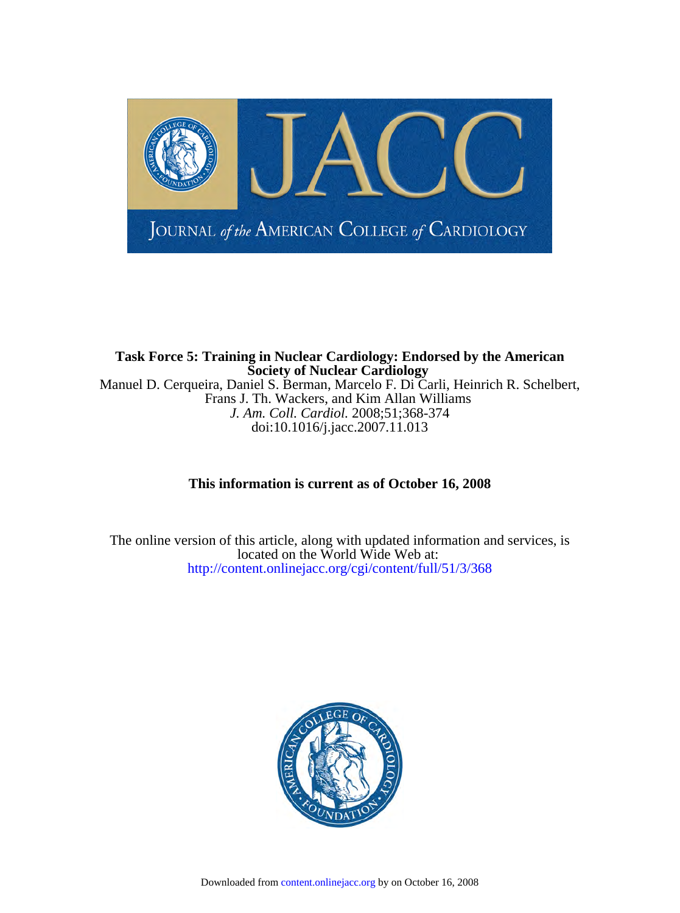

doi:10.1016/j.jacc.2007.11.013 *J. Am. Coll. Cardiol.* 2008;51;368-374 Frans J. Th. Wackers, and Kim Allan Williams Manuel D. Cerqueira, Daniel S. Berman, Marcelo F. Di Carli, Heinrich R. Schelbert, **Society of Nuclear Cardiology Task Force 5: Training in Nuclear Cardiology: Endorsed by the American**

# **This information is current as of October 16, 2008**

<http://content.onlinejacc.org/cgi/content/full/51/3/368> located on the World Wide Web at: The online version of this article, along with updated information and services, is

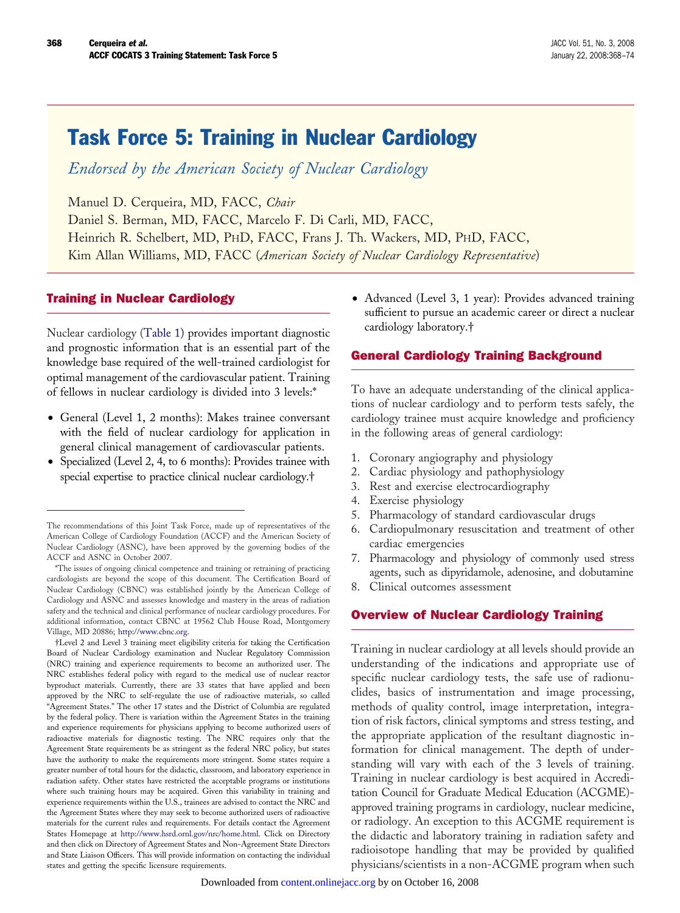# Task Force 5: Training in Nuclear Cardiology

*Endorsed by the American Society of Nuclear Cardiology*

Manuel D. Cerqueira, MD, FACC, *Chair* Daniel S. Berman, MD, FACC, Marcelo F. Di Carli, MD, FACC, Heinrich R. Schelbert, MD, PHD, FACC, Frans J. Th. Wackers, MD, PHD, FACC, Kim Allan Williams, MD, FACC (*American Society of Nuclear Cardiology Representative*)

### Training in Nuclear Cardiology

Nuclear cardiology [\(Table 1\)](#page-2-0) provides important diagnostic and prognostic information that is an essential part of the knowledge base required of the well-trained cardiologist for optimal management of the cardiovascular patient. Training of fellows in nuclear cardiology is divided into 3 levels:\*

- General (Level 1, 2 months): Makes trainee conversant with the field of nuclear cardiology for application in general clinical management of cardiovascular patients.
- Specialized (Level 2, 4, to 6 months): Provides trainee with special expertise to practice clinical nuclear cardiology.†

• Advanced (Level 3, 1 year): Provides advanced training sufficient to pursue an academic career or direct a nuclear cardiology laboratory.†

# General Cardiology Training Background

To have an adequate understanding of the clinical applications of nuclear cardiology and to perform tests safely, the cardiology trainee must acquire knowledge and proficiency in the following areas of general cardiology:

- 1. Coronary angiography and physiology
- 2. Cardiac physiology and pathophysiology
- 3. Rest and exercise electrocardiography
- 4. Exercise physiology
- 5. Pharmacology of standard cardiovascular drugs
- 6. Cardiopulmonary resuscitation and treatment of other cardiac emergencies
- 7. Pharmacology and physiology of commonly used stress agents, such as dipyridamole, adenosine, and dobutamine
- 8. Clinical outcomes assessment

# Overview of Nuclear Cardiology Training

Training in nuclear cardiology at all levels should provide an understanding of the indications and appropriate use of specific nuclear cardiology tests, the safe use of radionuclides, basics of instrumentation and image processing, methods of quality control, image interpretation, integration of risk factors, clinical symptoms and stress testing, and the appropriate application of the resultant diagnostic information for clinical management. The depth of understanding will vary with each of the 3 levels of training. Training in nuclear cardiology is best acquired in Accreditation Council for Graduate Medical Education (ACGME) approved training programs in cardiology, nuclear medicine, or radiology. An exception to this ACGME requirement is the didactic and laboratory training in radiation safety and radioisotope handling that may be provided by qualified physicians/scientists in a non-ACGME program when such

The recommendations of this Joint Task Force, made up of representatives of the American College of Cardiology Foundation (ACCF) and the American Society of Nuclear Cardiology (ASNC), have been approved by the governing bodies of the ACCF and ASNC in October 2007.

<sup>\*</sup>The issues of ongoing clinical competence and training or retraining of practicing cardiologists are beyond the scope of this document. The Certification Board of Nuclear Cardiology (CBNC) was established jointly by the American College of Cardiology and ASNC and assesses knowledge and mastery in the areas of radiation safety and the technical and clinical performance of nuclear cardiology procedures. For additional information, contact CBNC at 19562 Club House Road, Montgomery Village, MD 20886; [http://www.cbnc.org.](http://www.cbnc.org)

<sup>†</sup>Level 2 and Level 3 training meet eligibility criteria for taking the Certification Board of Nuclear Cardiology examination and Nuclear Regulatory Commission (NRC) training and experience requirements to become an authorized user. The NRC establishes federal policy with regard to the medical use of nuclear reactor byproduct materials. Currently, there are 33 states that have applied and been approved by the NRC to self-regulate the use of radioactive materials, so called "Agreement States." The other 17 states and the District of Columbia are regulated by the federal policy. There is variation within the Agreement States in the training and experience requirements for physicians applying to become authorized users of radioactive materials for diagnostic testing. The NRC requires only that the Agreement State requirements be as stringent as the federal NRC policy, but states have the authority to make the requirements more stringent. Some states require a greater number of total hours for the didactic, classroom, and laboratory experience in radiation safety. Other states have restricted the acceptable programs or institutions where such training hours may be acquired. Given this variability in training and experience requirements within the U.S., trainees are advised to contact the NRC and the Agreement States where they may seek to become authorized users of radioactive materials for the current rules and requirements. For details contact the Agreement States Homepage at [http://www.hsrd.ornl.gov/nrc/home.html.](http://www.hsrd.ornl.gov/nrc/home.html) Click on Directory and then click on Directory of Agreement States and Non-Agreement State Directors and State Liaison Officers. This will provide information on contacting the individual states and getting the specific licensure requirements.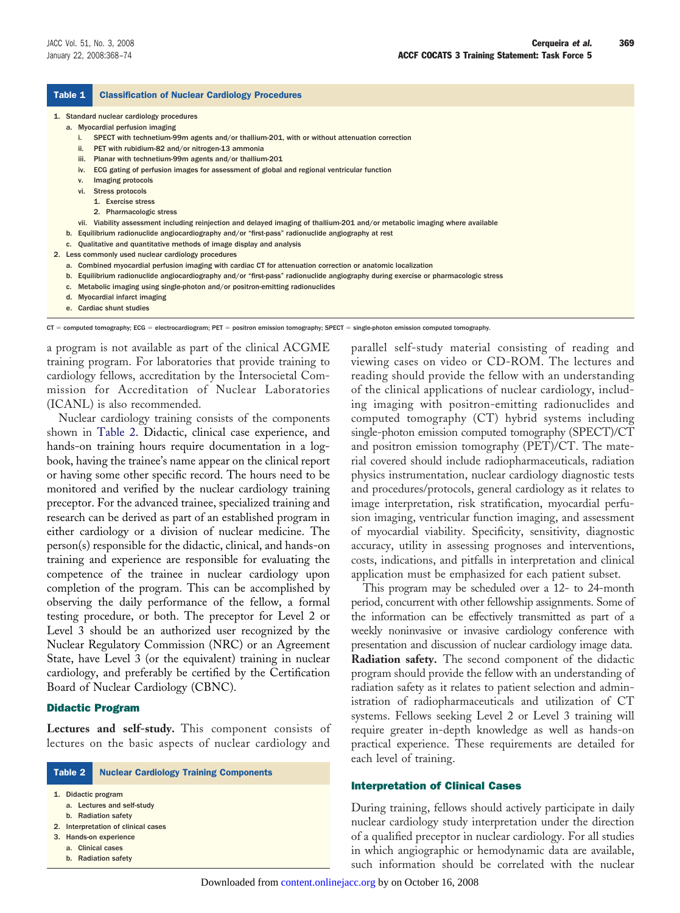#### <span id="page-2-0"></span>Table 1 Classification of Nuclear Cardiology Procedures

1. Standard nuclear cardiology procedures a. Myocardial perfusion imaging

- i. SPECT with technetium-99m agents and/or thallium-201, with or without attenuation correction
- ii. PET with rubidium-82 and/or nitrogen-13 ammonia
- iii. Planar with technetium-99m agents and/or thallium-201
- iv. ECG gating of perfusion images for assessment of global and regional ventricular function
- v. Imaging protocols
- vi. Stress protocols
	- 1. Exercise stress
	- 2. Pharmacologic stress
- vii. Viability assessment including reinjection and delayed imaging of thallium-201 and/or metabolic imaging where available
- b. Equilibrium radionuclide angiocardiography and/or "first-pass" radionuclide angiography at rest
- c. Qualitative and quantitative methods of image display and analysis
- 2. Less commonly used nuclear cardiology procedures
	- a. Combined myocardial perfusion imaging with cardiac CT for attenuation correction or anatomic localization
	- b. Equilibrium radionuclide angiocardiography and/or "first-pass" radionuclide angiography during exercise or pharmacologic stress
	- c. Metabolic imaging using single-photon and/or positron-emitting radionuclides
	- d. Myocardial infarct imaging
	- e. Cardiac shunt studies

CT = computed tomography; ECG = electrocardiogram; PET = positron emission tomography; SPECT = single-photon emission computed tomography.

a program is not available as part of the clinical ACGME training program. For laboratories that provide training to cardiology fellows, accreditation by the Intersocietal Commission for Accreditation of Nuclear Laboratories (ICANL) is also recommended.

Nuclear cardiology training consists of the components shown in Table 2. Didactic, clinical case experience, and hands-on training hours require documentation in a logbook, having the trainee's name appear on the clinical report or having some other specific record. The hours need to be monitored and verified by the nuclear cardiology training preceptor. For the advanced trainee, specialized training and research can be derived as part of an established program in either cardiology or a division of nuclear medicine. The person(s) responsible for the didactic, clinical, and hands-on training and experience are responsible for evaluating the competence of the trainee in nuclear cardiology upon completion of the program. This can be accomplished by observing the daily performance of the fellow, a formal testing procedure, or both. The preceptor for Level 2 or Level 3 should be an authorized user recognized by the Nuclear Regulatory Commission (NRC) or an Agreement State, have Level 3 (or the equivalent) training in nuclear cardiology, and preferably be certified by the Certification Board of Nuclear Cardiology (CBNC).

#### Didactic Program

**Lectures and self-study.** This component consists of lectures on the basic aspects of nuclear cardiology and



parallel self-study material consisting of reading and viewing cases on video or CD-ROM. The lectures and reading should provide the fellow with an understanding of the clinical applications of nuclear cardiology, including imaging with positron-emitting radionuclides and computed tomography (CT) hybrid systems including single-photon emission computed tomography (SPECT)/CT and positron emission tomography (PET)/CT. The material covered should include radiopharmaceuticals, radiation physics instrumentation, nuclear cardiology diagnostic tests and procedures/protocols, general cardiology as it relates to image interpretation, risk stratification, myocardial perfusion imaging, ventricular function imaging, and assessment of myocardial viability. Specificity, sensitivity, diagnostic accuracy, utility in assessing prognoses and interventions, costs, indications, and pitfalls in interpretation and clinical application must be emphasized for each patient subset.

This program may be scheduled over a 12- to 24-month period, concurrent with other fellowship assignments. Some of the information can be effectively transmitted as part of a weekly noninvasive or invasive cardiology conference with presentation and discussion of nuclear cardiology image data. **Radiation safety.** The second component of the didactic program should provide the fellow with an understanding of radiation safety as it relates to patient selection and administration of radiopharmaceuticals and utilization of CT systems. Fellows seeking Level 2 or Level 3 training will require greater in-depth knowledge as well as hands-on practical experience. These requirements are detailed for each level of training.

#### Interpretation of Clinical Cases

During training, fellows should actively participate in daily nuclear cardiology study interpretation under the direction of a qualified preceptor in nuclear cardiology. For all studies in which angiographic or hemodynamic data are available, such information should be correlated with the nuclear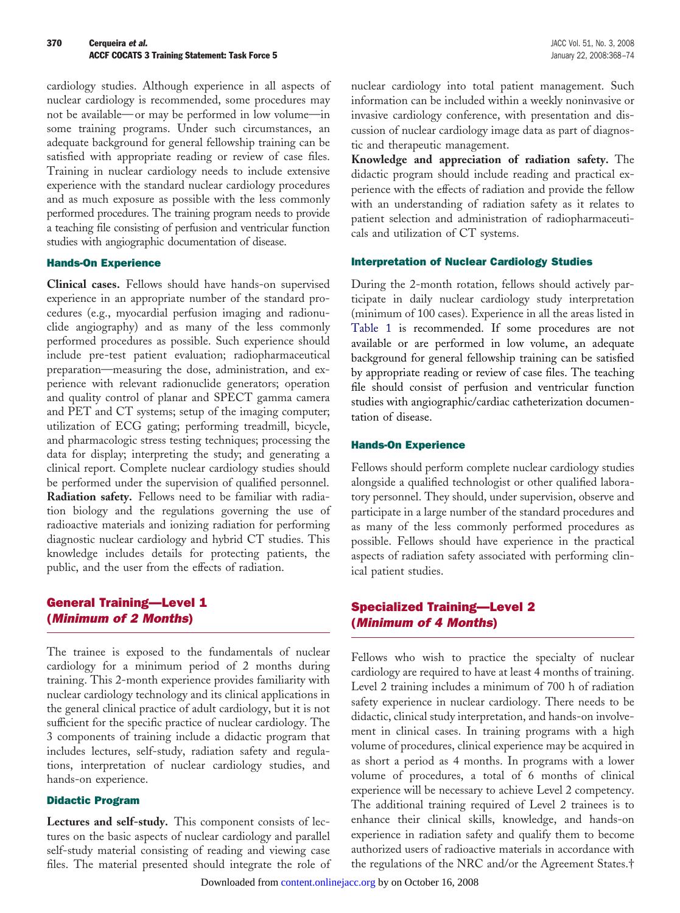cardiology studies. Although experience in all aspects of nuclear cardiology is recommended, some procedures may not be available—or may be performed in low volume—in some training programs. Under such circumstances, an adequate background for general fellowship training can be satisfied with appropriate reading or review of case files. Training in nuclear cardiology needs to include extensive experience with the standard nuclear cardiology procedures and as much exposure as possible with the less commonly performed procedures. The training program needs to provide a teaching file consisting of perfusion and ventricular function studies with angiographic documentation of disease.

#### Hands-On Experience

**Clinical cases.** Fellows should have hands-on supervised experience in an appropriate number of the standard procedures (e.g., myocardial perfusion imaging and radionuclide angiography) and as many of the less commonly performed procedures as possible. Such experience should include pre-test patient evaluation; radiopharmaceutical preparation—measuring the dose, administration, and experience with relevant radionuclide generators; operation and quality control of planar and SPECT gamma camera and PET and CT systems; setup of the imaging computer; utilization of ECG gating; performing treadmill, bicycle, and pharmacologic stress testing techniques; processing the data for display; interpreting the study; and generating a clinical report. Complete nuclear cardiology studies should be performed under the supervision of qualified personnel. **Radiation safety.** Fellows need to be familiar with radiation biology and the regulations governing the use of radioactive materials and ionizing radiation for performing diagnostic nuclear cardiology and hybrid CT studies. This knowledge includes details for protecting patients, the public, and the user from the effects of radiation.

# General Training—Level 1 (*Minimum of 2 Months*)

The trainee is exposed to the fundamentals of nuclear cardiology for a minimum period of 2 months during training. This 2-month experience provides familiarity with nuclear cardiology technology and its clinical applications in the general clinical practice of adult cardiology, but it is not sufficient for the specific practice of nuclear cardiology. The 3 components of training include a didactic program that includes lectures, self-study, radiation safety and regulations, interpretation of nuclear cardiology studies, and hands-on experience.

#### Didactic Program

**Lectures and self-study.** This component consists of lectures on the basic aspects of nuclear cardiology and parallel self-study material consisting of reading and viewing case files. The material presented should integrate the role of nuclear cardiology into total patient management. Such information can be included within a weekly noninvasive or invasive cardiology conference, with presentation and discussion of nuclear cardiology image data as part of diagnostic and therapeutic management.

**Knowledge and appreciation of radiation safety.** The didactic program should include reading and practical experience with the effects of radiation and provide the fellow with an understanding of radiation safety as it relates to patient selection and administration of radiopharmaceuticals and utilization of CT systems.

#### Interpretation of Nuclear Cardiology Studies

During the 2-month rotation, fellows should actively participate in daily nuclear cardiology study interpretation (minimum of 100 cases). Experience in all the areas listed in [Table 1](#page-2-0) is recommended. If some procedures are not available or are performed in low volume, an adequate background for general fellowship training can be satisfied by appropriate reading or review of case files. The teaching file should consist of perfusion and ventricular function studies with angiographic/cardiac catheterization documentation of disease.

#### Hands-On Experience

Fellows should perform complete nuclear cardiology studies alongside a qualified technologist or other qualified laboratory personnel. They should, under supervision, observe and participate in a large number of the standard procedures and as many of the less commonly performed procedures as possible. Fellows should have experience in the practical aspects of radiation safety associated with performing clinical patient studies.

# Specialized Training—Level 2 (*Minimum of 4 Months*)

Fellows who wish to practice the specialty of nuclear cardiology are required to have at least 4 months of training. Level 2 training includes a minimum of 700 h of radiation safety experience in nuclear cardiology. There needs to be didactic, clinical study interpretation, and hands-on involvement in clinical cases. In training programs with a high volume of procedures, clinical experience may be acquired in as short a period as 4 months. In programs with a lower volume of procedures, a total of 6 months of clinical experience will be necessary to achieve Level 2 competency. The additional training required of Level 2 trainees is to enhance their clinical skills, knowledge, and hands-on experience in radiation safety and qualify them to become authorized users of radioactive materials in accordance with the regulations of the NRC and/or the Agreement States.†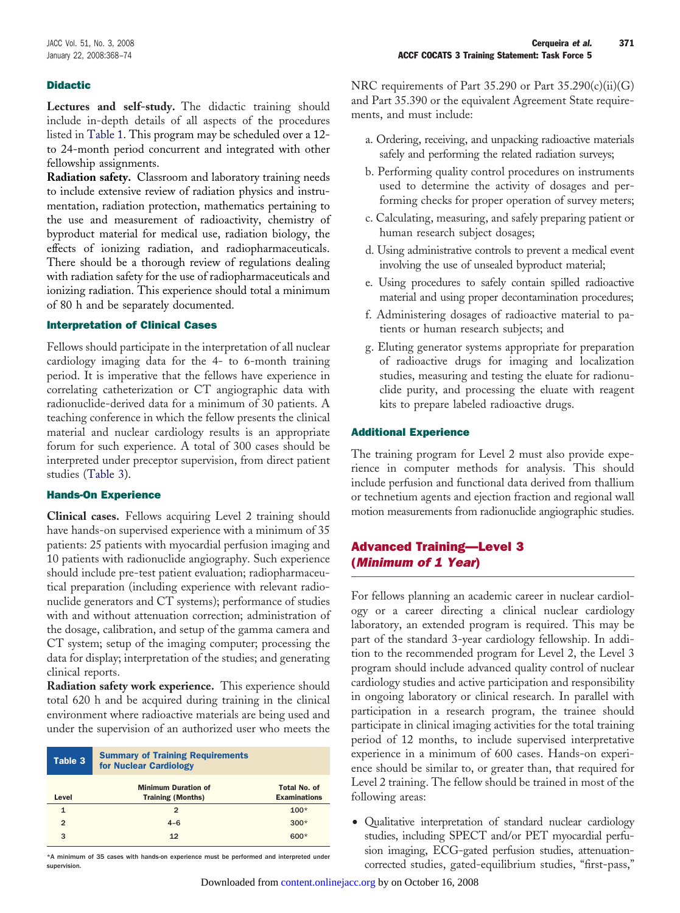#### Didactic

Lectures and self-study. The didactic training should include in-depth details of all aspects of the procedures listed in Table 1. This program may be scheduled over a 12 to 24-month period concurrent and integrated with other fellowship assignments.

**Radiation safety.** Classroom and laboratory training needs to include extensive review of radiation physics and instrumentation, radiation protection, mathematics pertaining to the use and measurement of radioactivity, chemistry of byproduct material for medical use, radiation biology, the effects of ionizing radiation, and radiopharmaceuticals. There should be a thorough review of regulations dealing with radiation safety for the use of radiopharmaceuticals and ionizing radiation. This experience should total a minimum of 80 h and be separately documented.

#### Interpretation of Clinical Cases

Fellows should participate in the interpretation of all nuclear cardiology imaging data for the 4- to 6-month training period. It is imperative that the fellows have experience in correlating catheterization or CT angiographic data with radionuclide-derived data for a minimum of 30 patients. A teaching conference in which the fellow presents the clinical material and nuclear cardiology results is an appropriate forum for such experience. A total of 300 cases should be interpreted under preceptor supervision, from direct patient studies (Table 3).

#### Hands-On Experience

**Clinical cases.** Fellows acquiring Level 2 training should have hands-on supervised experience with a minimum of 35 patients: 25 patients with myocardial perfusion imaging and 10 patients with radionuclide angiography. Such experience should include pre-test patient evaluation; radiopharmaceutical preparation (including experience with relevant radionuclide generators and CT systems); performance of studies with and without attenuation correction; administration of the dosage, calibration, and setup of the gamma camera and CT system; setup of the imaging computer; processing the data for display; interpretation of the studies; and generating clinical reports.

**Radiation safety work experience.** This experience should total 620 h and be acquired during training in the clinical environment where radioactive materials are being used and under the supervision of an authorized user who meets the

| Table 3        | <b>Summary of Training Requirements</b><br>for Nuclear Cardiology |                                     |
|----------------|-------------------------------------------------------------------|-------------------------------------|
| Level          | <b>Minimum Duration of</b><br><b>Training (Months)</b>            | Total No. of<br><b>Examinations</b> |
| 1              | 2                                                                 | $100*$                              |
| $\overline{2}$ | $4 - 6$                                                           | $300*$                              |
| 3              | 12                                                                | $600*$                              |

\*A minimum of 35 cases with hands-on experience must be performed and interpreted under supervision.

NRC requirements of Part 35.290 or Part 35.290(c)(ii)(G) and Part 35.390 or the equivalent Agreement State requirements, and must include:

- a. Ordering, receiving, and unpacking radioactive materials safely and performing the related radiation surveys;
- b. Performing quality control procedures on instruments used to determine the activity of dosages and performing checks for proper operation of survey meters;
- c. Calculating, measuring, and safely preparing patient or human research subject dosages;
- d. Using administrative controls to prevent a medical event involving the use of unsealed byproduct material;
- e. Using procedures to safely contain spilled radioactive material and using proper decontamination procedures;
- f. Administering dosages of radioactive material to patients or human research subjects; and
- g. Eluting generator systems appropriate for preparation of radioactive drugs for imaging and localization studies, measuring and testing the eluate for radionuclide purity, and processing the eluate with reagent kits to prepare labeled radioactive drugs.

#### Additional Experience

The training program for Level 2 must also provide experience in computer methods for analysis. This should include perfusion and functional data derived from thallium or technetium agents and ejection fraction and regional wall motion measurements from radionuclide angiographic studies.

# Advanced Training—Level 3 (*Minimum of 1 Year*)

For fellows planning an academic career in nuclear cardiology or a career directing a clinical nuclear cardiology laboratory, an extended program is required. This may be part of the standard 3-year cardiology fellowship. In addition to the recommended program for Level 2, the Level 3 program should include advanced quality control of nuclear cardiology studies and active participation and responsibility in ongoing laboratory or clinical research. In parallel with participation in a research program, the trainee should participate in clinical imaging activities for the total training period of 12 months, to include supervised interpretative experience in a minimum of 600 cases. Hands-on experience should be similar to, or greater than, that required for Level 2 training. The fellow should be trained in most of the following areas:

• Qualitative interpretation of standard nuclear cardiology studies, including SPECT and/or PET myocardial perfusion imaging, ECG-gated perfusion studies, attenuationcorrected studies, gated-equilibrium studies, "first-pass,"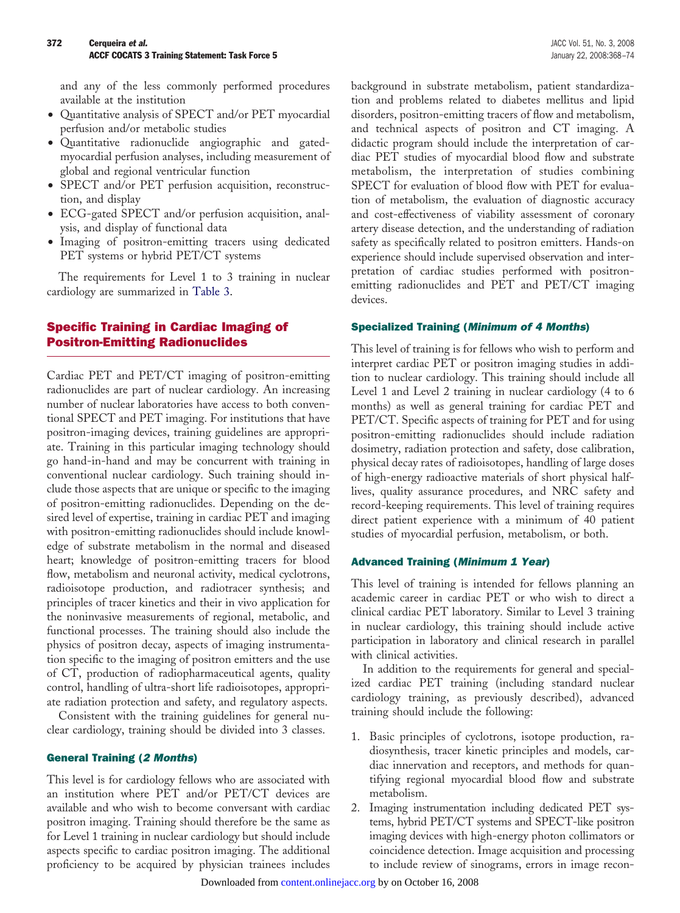and any of the less commonly performed procedures available at the institution

- Quantitative analysis of SPECT and/or PET myocardial perfusion and/or metabolic studies
- Quantitative radionuclide angiographic and gatedmyocardial perfusion analyses, including measurement of global and regional ventricular function
- SPECT and/or PET perfusion acquisition, reconstruction, and display
- ECG-gated SPECT and/or perfusion acquisition, analysis, and display of functional data
- Imaging of positron-emitting tracers using dedicated PET systems or hybrid PET/CT systems

The requirements for Level 1 to 3 training in nuclear cardiology are summarized in Table 3.

# Specific Training in Cardiac Imaging of Positron-Emitting Radionuclides

Cardiac PET and PET/CT imaging of positron-emitting radionuclides are part of nuclear cardiology. An increasing number of nuclear laboratories have access to both conventional SPECT and PET imaging. For institutions that have positron-imaging devices, training guidelines are appropriate. Training in this particular imaging technology should go hand-in-hand and may be concurrent with training in conventional nuclear cardiology. Such training should include those aspects that are unique or specific to the imaging of positron-emitting radionuclides. Depending on the desired level of expertise, training in cardiac PET and imaging with positron-emitting radionuclides should include knowledge of substrate metabolism in the normal and diseased heart; knowledge of positron-emitting tracers for blood flow, metabolism and neuronal activity, medical cyclotrons, radioisotope production, and radiotracer synthesis; and principles of tracer kinetics and their in vivo application for the noninvasive measurements of regional, metabolic, and functional processes. The training should also include the physics of positron decay, aspects of imaging instrumentation specific to the imaging of positron emitters and the use of CT, production of radiopharmaceutical agents, quality control, handling of ultra-short life radioisotopes, appropriate radiation protection and safety, and regulatory aspects.

Consistent with the training guidelines for general nuclear cardiology, training should be divided into 3 classes.

# General Training (*2 Months*)

This level is for cardiology fellows who are associated with an institution where PET and/or PET/CT devices are available and who wish to become conversant with cardiac positron imaging. Training should therefore be the same as for Level 1 training in nuclear cardiology but should include aspects specific to cardiac positron imaging. The additional proficiency to be acquired by physician trainees includes

background in substrate metabolism, patient standardization and problems related to diabetes mellitus and lipid disorders, positron-emitting tracers of flow and metabolism, and technical aspects of positron and CT imaging. A didactic program should include the interpretation of cardiac PET studies of myocardial blood flow and substrate metabolism, the interpretation of studies combining SPECT for evaluation of blood flow with PET for evaluation of metabolism, the evaluation of diagnostic accuracy and cost-effectiveness of viability assessment of coronary artery disease detection, and the understanding of radiation safety as specifically related to positron emitters. Hands-on experience should include supervised observation and interpretation of cardiac studies performed with positronemitting radionuclides and PET and PET/CT imaging devices.

#### Specialized Training (*Minimum of 4 Months*)

This level of training is for fellows who wish to perform and interpret cardiac PET or positron imaging studies in addition to nuclear cardiology. This training should include all Level 1 and Level 2 training in nuclear cardiology (4 to 6 months) as well as general training for cardiac PET and PET/CT. Specific aspects of training for PET and for using positron-emitting radionuclides should include radiation dosimetry, radiation protection and safety, dose calibration, physical decay rates of radioisotopes, handling of large doses of high-energy radioactive materials of short physical halflives, quality assurance procedures, and NRC safety and record-keeping requirements. This level of training requires direct patient experience with a minimum of 40 patient studies of myocardial perfusion, metabolism, or both.

#### Advanced Training (*Minimum 1 Year*)

This level of training is intended for fellows planning an academic career in cardiac PET or who wish to direct a clinical cardiac PET laboratory. Similar to Level 3 training in nuclear cardiology, this training should include active participation in laboratory and clinical research in parallel with clinical activities.

In addition to the requirements for general and specialized cardiac PET training (including standard nuclear cardiology training, as previously described), advanced training should include the following:

- 1. Basic principles of cyclotrons, isotope production, radiosynthesis, tracer kinetic principles and models, cardiac innervation and receptors, and methods for quantifying regional myocardial blood flow and substrate metabolism.
- 2. Imaging instrumentation including dedicated PET systems, hybrid PET/CT systems and SPECT-like positron imaging devices with high-energy photon collimators or coincidence detection. Image acquisition and processing to include review of sinograms, errors in image recon-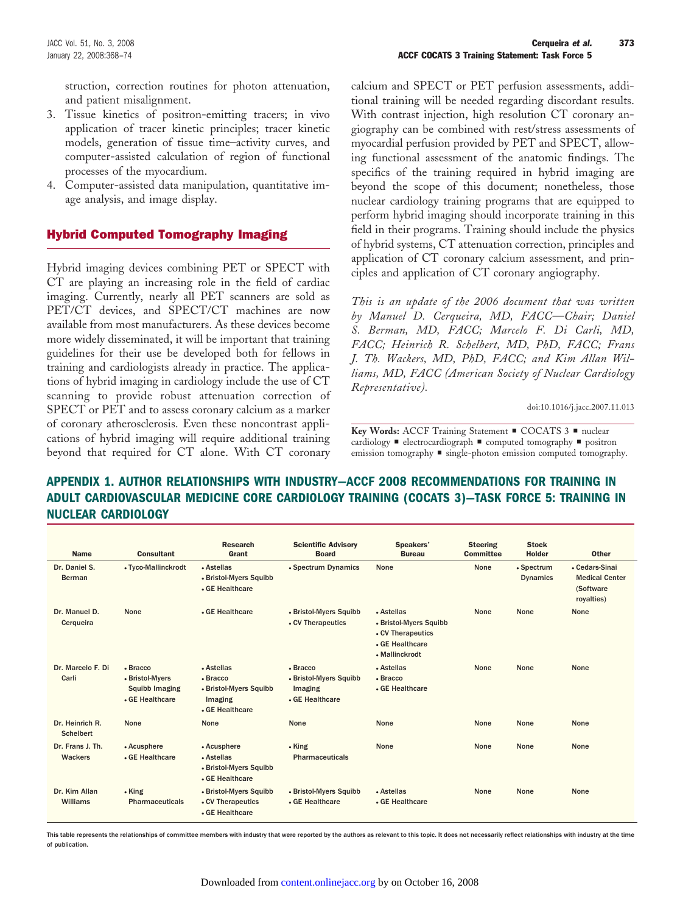struction, correction routines for photon attenuation, and patient misalignment.

- 3. Tissue kinetics of positron-emitting tracers; in vivo application of tracer kinetic principles; tracer kinetic models, generation of tissue time–activity curves, and computer-assisted calculation of region of functional processes of the myocardium.
- 4. Computer-assisted data manipulation, quantitative image analysis, and image display.

#### Hybrid Computed Tomography Imaging

Hybrid imaging devices combining PET or SPECT with CT are playing an increasing role in the field of cardiac imaging. Currently, nearly all PET scanners are sold as PET/CT devices, and SPECT/CT machines are now available from most manufacturers. As these devices become more widely disseminated, it will be important that training guidelines for their use be developed both for fellows in training and cardiologists already in practice. The applications of hybrid imaging in cardiology include the use of CT scanning to provide robust attenuation correction of SPECT or PET and to assess coronary calcium as a marker of coronary atherosclerosis. Even these noncontrast applications of hybrid imaging will require additional training beyond that required for CT alone. With CT coronary calcium and SPECT or PET perfusion assessments, additional training will be needed regarding discordant results. With contrast injection, high resolution CT coronary angiography can be combined with rest/stress assessments of myocardial perfusion provided by PET and SPECT, allowing functional assessment of the anatomic findings. The specifics of the training required in hybrid imaging are beyond the scope of this document; nonetheless, those nuclear cardiology training programs that are equipped to perform hybrid imaging should incorporate training in this field in their programs. Training should include the physics of hybrid systems, CT attenuation correction, principles and application of CT coronary calcium assessment, and principles and application of CT coronary angiography.

*This is an update of the 2006 document that was written by Manuel D. Cerqueira, MD, FACC—Chair; Daniel S. Berman, MD, FACC; Marcelo F. Di Carli, MD, FACC; Heinrich R. Schelbert, MD, PhD, FACC; Frans J. Th. Wackers, MD, PhD, FACC; and Kim Allan Williams, MD, FACC (American Society of Nuclear Cardiology Representative).*

doi:10.1016/j.jacc.2007.11.013

Key Words: ACCF Training Statement COCATS 3 nuclear cardiology  $\blacksquare$  electrocardiograph  $\blacksquare$  computed tomography  $\blacksquare$  positron emission tomography  $\blacksquare$  single-photon emission computed tomography.

# **APPENDIX 1. AUTHOR RELATIONSHIPS WITH INDUSTRY—ACCF 2008 RECOMMENDATIONS FOR TRAINING IN ADULT CARDIOVASCULAR MEDICINE CORE CARDIOLOGY TRAINING (COCATS 3)—TASK FORCE 5: TRAINING IN NUCLEAR CARDIOLOGY**

| <b>Name</b>                         | <b>Consultant</b>                                                               | <b>Research</b><br>Grant                                                       | <b>Scientific Advisory</b><br><b>Board</b>                               | Speakers'<br><b>Bureau</b>                                                                     | <b>Steering</b><br><b>Committee</b> | <b>Stock</b><br><b>Holder</b> | Other                                                              |
|-------------------------------------|---------------------------------------------------------------------------------|--------------------------------------------------------------------------------|--------------------------------------------------------------------------|------------------------------------------------------------------------------------------------|-------------------------------------|-------------------------------|--------------------------------------------------------------------|
| Dr. Daniel S.<br><b>Berman</b>      | • Tyco-Mallinckrodt                                                             | • Astellas<br>• Bristol-Myers Squibb<br>• GE Healthcare                        | • Spectrum Dynamics                                                      | None                                                                                           | None                                | • Spectrum<br><b>Dynamics</b> | • Cedars-Sinai<br><b>Medical Center</b><br>(Software<br>royalties) |
| Dr. Manuel D.<br>Cerqueira          | None                                                                            | • GE Healthcare                                                                | • Bristol-Myers Squibb<br>• CV Therapeutics                              | • Astellas<br>• Bristol-Myers Squibb<br>• CV Therapeutics<br>• GE Healthcare<br>• Mallinckrodt | None                                | None                          | None                                                               |
| Dr. Marcelo F. Di<br>Carli          | $\bullet$ Bracco<br>• Bristol-Myers<br><b>Squibb Imaging</b><br>• GE Healthcare | • Astellas<br>• Bracco<br>• Bristol-Myers Squibb<br>Imaging<br>• GE Healthcare | $\bullet$ Bracco<br>• Bristol-Myers Squibb<br>Imaging<br>• GE Healthcare | • Astellas<br>• Bracco<br>• GE Healthcare                                                      | None                                | None                          | None                                                               |
| Dr. Heinrich R.<br><b>Schelbert</b> | None                                                                            | None                                                                           | None                                                                     | None                                                                                           | None                                | None                          | None                                                               |
| Dr. Frans J. Th.<br><b>Wackers</b>  | • Acusphere<br>• GE Healthcare                                                  | • Acusphere<br>• Astellas<br>• Bristol-Myers Squibb<br>• GE Healthcare         | • King<br><b>Pharmaceuticals</b>                                         | None                                                                                           | None                                | None                          | None                                                               |
| Dr. Kim Allan<br><b>Williams</b>    | • King<br>Pharmaceuticals                                                       | • Bristol-Myers Squibb<br>• CV Therapeutics<br>• GE Healthcare                 | • Bristol-Myers Squibb<br>• GE Healthcare                                | • Astellas<br>• GE Healthcare                                                                  | None                                | None                          | None                                                               |

This table represents the relationships of committee members with industry that were reported by the authors as relevant to this topic. It does not necessarily reflect relationships with industry at the time of publication.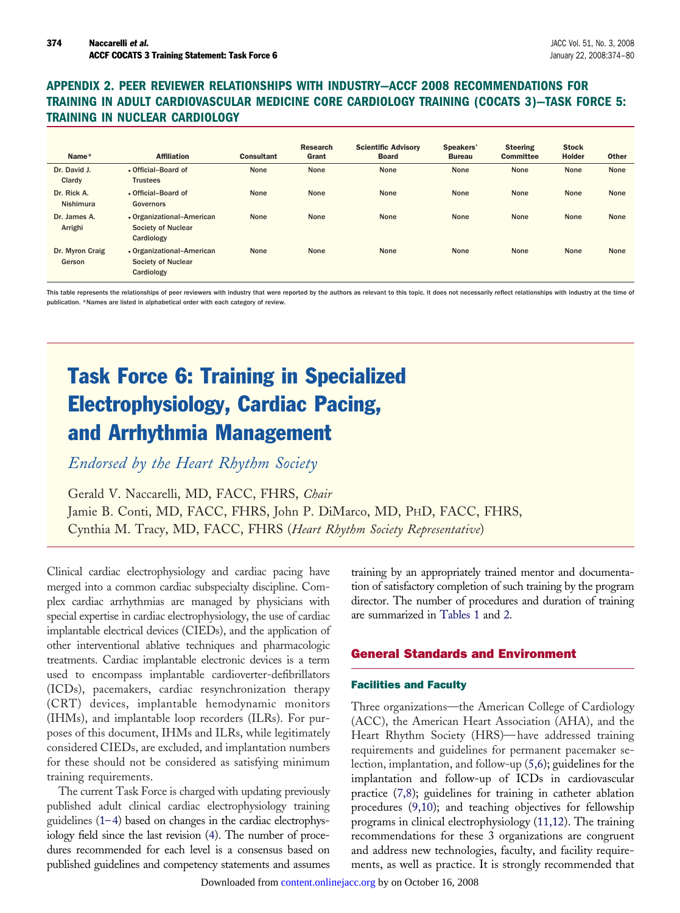# **APPENDIX 2. PEER REVIEWER RELATIONSHIPS WITH INDUSTRY—ACCF 2008 RECOMMENDATIONS FOR TRAINING IN ADULT CARDIOVASCULAR MEDICINE CORE CARDIOLOGY TRAINING (COCATS 3)—TASK FORCE 5: TRAINING IN NUCLEAR CARDIOLOGY**

| Name*                     | <b>Affiliation</b>                                                   | <b>Consultant</b> | <b>Research</b><br>Grant | <b>Scientific Advisory</b><br><b>Board</b> | Speakers'<br><b>Bureau</b> | <b>Steering</b><br><b>Committee</b> | <b>Stock</b><br><b>Holder</b> | <b>Other</b> |
|---------------------------|----------------------------------------------------------------------|-------------------|--------------------------|--------------------------------------------|----------------------------|-------------------------------------|-------------------------------|--------------|
| Dr. David J.<br>Clardy    | . Official-Board of<br><b>Trustees</b>                               | None              | None                     | None                                       | None                       | None                                | None                          | None         |
| Dr. Rick A.<br>Nishimura  | . Official-Board of<br><b>Governors</b>                              | None              | None                     | None                                       | None                       | None                                | None                          | None         |
| Dr. James A.<br>Arrighi   | • Organizational-American<br><b>Society of Nuclear</b><br>Cardiology | None              | None                     | None                                       | None                       | None                                | None                          | None         |
| Dr. Myron Craig<br>Gerson | • Organizational-American<br><b>Society of Nuclear</b><br>Cardiology | None              | None                     | None                                       | None                       | None                                | None                          | None         |

This table represents the relationships of peer reviewers with industry that were reported by the authors as relevant to this topic. It does not necessarily reflect relationships with industry at the time of publication. \*Names are listed in alphabetical order with each category of review.

# Task Force 6: Training in Specialized Electrophysiology, Cardiac Pacing, and Arrhythmia Management

*Endorsed by the Heart Rhythm Society*

Gerald V. Naccarelli, MD, FACC, FHRS, *Chair* Jamie B. Conti, MD, FACC, FHRS, John P. DiMarco, MD, PHD, FACC, FHRS, Cynthia M. Tracy, MD, FACC, FHRS (*Heart Rhythm Society Representative*)

Clinical cardiac electrophysiology and cardiac pacing have merged into a common cardiac subspecialty discipline. Complex cardiac arrhythmias are managed by physicians with special expertise in cardiac electrophysiology, the use of cardiac implantable electrical devices (CIEDs), and the application of other interventional ablative techniques and pharmacologic treatments. Cardiac implantable electronic devices is a term used to encompass implantable cardioverter-defibrillators (ICDs), pacemakers, cardiac resynchronization therapy (CRT) devices, implantable hemodynamic monitors (IHMs), and implantable loop recorders (ILRs). For purposes of this document, IHMs and ILRs, while legitimately considered CIEDs, are excluded, and implantation numbers for these should not be considered as satisfying minimum training requirements.

The current Task Force is charged with updating previously published adult clinical cardiac electrophysiology training guidelines  $(1-4)$  based on changes in the cardiac electrophysiology field since the last revision (4). The number of procedures recommended for each level is a consensus based on published guidelines and competency statements and assumes

training by an appropriately trained mentor and documentation of satisfactory completion of such training by the program director. The number of procedures and duration of training are summarized in Tables 1 and 2.

# General Standards and Environment

#### Facilities and Faculty

Three organizations—the American College of Cardiology (ACC), the American Heart Association (AHA), and the Heart Rhythm Society (HRS)— have addressed training requirements and guidelines for permanent pacemaker selection, implantation, and follow-up (5,6); guidelines for the implantation and follow-up of ICDs in cardiovascular practice (7,8); guidelines for training in catheter ablation procedures (9,10); and teaching objectives for fellowship programs in clinical electrophysiology (11,12). The training recommendations for these 3 organizations are congruent and address new technologies, faculty, and facility requirements, as well as practice. It is strongly recommended that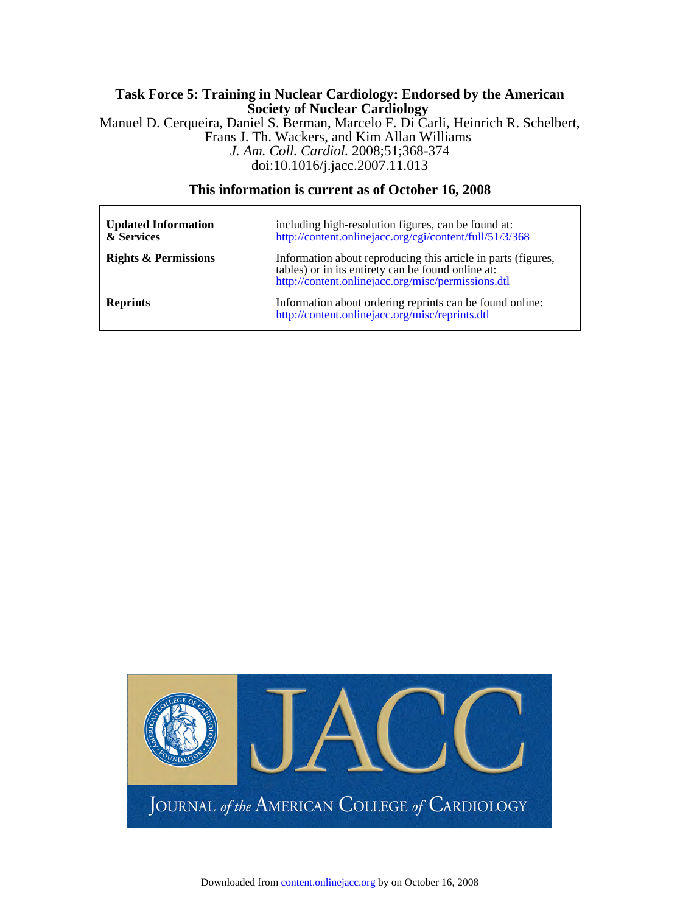# doi:10.1016/j.jacc.2007.11.013 *J. Am. Coll. Cardiol.* 2008;51;368-374 Frans J. Th. Wackers, and Kim Allan Williams Manuel D. Cerqueira, Daniel S. Berman, Marcelo F. Di Carli, Heinrich R. Schelbert, **Society of Nuclear Cardiology Task Force 5: Training in Nuclear Cardiology: Endorsed by the American**

| <b>Updated Information</b><br>& Services | including high-resolution figures, can be found at:<br>http://content.onlinejacc.org/cgi/content/full/51/3/368                                                            |
|------------------------------------------|---------------------------------------------------------------------------------------------------------------------------------------------------------------------------|
| <b>Rights &amp; Permissions</b>          | Information about reproducing this article in parts (figures,<br>tables) or in its entirety can be found online at:<br>http://content.onlinejacc.org/misc/permissions.dtl |
| <b>Reprints</b>                          | Information about ordering reprints can be found online:<br>http://content.onlinejacc.org/misc/reprints.dtl                                                               |

# **This information is current as of October 16, 2008**